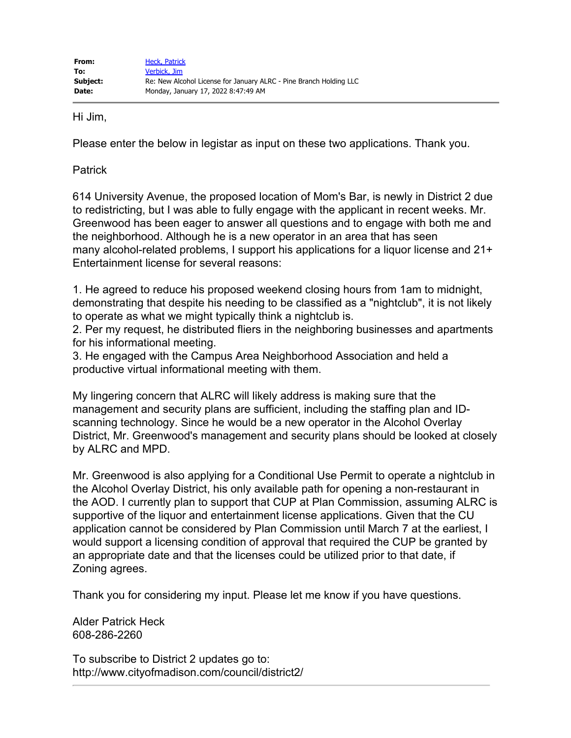Hi Jim,

Please enter the below in legistar as input on these two applications. Thank you.

Patrick

614 University Avenue, the proposed location of Mom's Bar, is newly in District 2 due to redistricting, but I was able to fully engage with the applicant in recent weeks. Mr. Greenwood has been eager to answer all questions and to engage with both me and the neighborhood. Although he is a new operator in an area that has seen many alcohol-related problems, I support his applications for a liquor license and 21+ Entertainment license for several reasons:

1. He agreed to reduce his proposed weekend closing hours from 1am to midnight, demonstrating that despite his needing to be classified as a "nightclub", it is not likely to operate as what we might typically think a nightclub is.

2. Per my request, he distributed fliers in the neighboring businesses and apartments for his informational meeting.

3. He engaged with the Campus Area Neighborhood Association and held a productive virtual informational meeting with them.

My lingering concern that ALRC will likely address is making sure that the management and security plans are sufficient, including the staffing plan and IDscanning technology. Since he would be a new operator in the Alcohol Overlay District, Mr. Greenwood's management and security plans should be looked at closely by ALRC and MPD.

Mr. Greenwood is also applying for a Conditional Use Permit to operate a nightclub in the Alcohol Overlay District, his only available path for opening a non-restaurant in the AOD. I currently plan to support that CUP at Plan Commission, assuming ALRC is supportive of the liquor and entertainment license applications. Given that the CU application cannot be considered by Plan Commission until March 7 at the earliest, I would support a licensing condition of approval that required the CUP be granted by an appropriate date and that the licenses could be utilized prior to that date, if Zoning agrees.

Thank you for considering my input. Please let me know if you have questions.

Alder Patrick Heck 608-286-2260

To subscribe to District 2 updates go to: http://www.cityofmadison.com/council/district2/